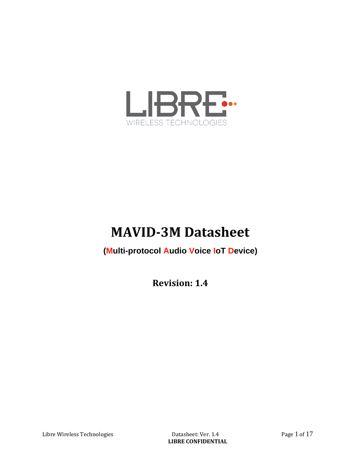

# **MAVID-3M Datasheet**

#### **(Multi-protocol Audio Voice IoT Device)**

**Revision: 1.4**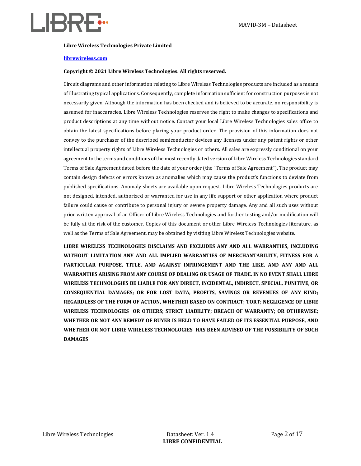

#### **Libre Wireless Technologies Private Limited**

#### **[librewireless.com](http://www.librewireless.com/)**

#### **Copyright © 2021 Libre Wireless Technologies. All rights reserved.**

Circuit diagrams and other information relating to Libre Wireless Technologies products are included as a means of illustrating typical applications. Consequently, complete information sufficient for construction purposes is not necessarily given. Although the information has been checked and is believed to be accurate, no responsibility is assumed for inaccuracies. Libre Wireless Technologies reserves the right to make changes to specifications and product descriptions at any time without notice. Contact your local Libre Wireless Technologies sales office to obtain the latest specifications before placing your product order. The provision of this information does not convey to the purchaser of the described semiconductor devices any licenses under any patent rights or other intellectual property rights of Libre Wireless Technologies or others. All sales are expressly conditional on your agreement to the terms and conditions of the most recently dated version of Libre Wireless Technologies standard Terms of Sale Agreement dated before the date of your order (the "Terms of Sale Agreement"). The product may contain design defects or errors known as anomalies which may cause the product's functions to deviate from published specifications. Anomaly sheets are available upon request. Libre Wireless Technologies products are not designed, intended, authorized or warranted for use in any life support or other application where product failure could cause or contribute to personal injury or severe property damage. Any and all such uses without prior written approval of an Officer of Libre Wireless Technologies and further testing and/or modification will be fully at the risk of the customer. Copies of this document or other Libre Wireless Technologies literature, as well as the Terms of Sale Agreement, may be obtained by visiting Libre Wireless Technologies website.

**LIBRE WIRELESS TECHNOLOGIES DISCLAIMS AND EXCLUDES ANY AND ALL WARRANTIES, INCLUDING WITHOUT LIMITATION ANY AND ALL IMPLIED WARRANTIES OF MERCHANTABILITY, FITNESS FOR A PARTICULAR PURPOSE, TITLE, AND AGAINST INFRINGEMENT AND THE LIKE, AND ANY AND ALL WARRANTIES ARISING FROM ANY COURSE OF DEALING OR USAGE OF TRADE. IN NO EVENT SHALL LIBRE WIRELESS TECHNOLOGIES BE LIABLE FOR ANY DIRECT, INCIDENTAL, INDIRECT, SPECIAL, PUNITIVE, OR CONSEQUENTIAL DAMAGES; OR FOR LOST DATA, PROFITS, SAVINGS OR REVENUES OF ANY KIND; REGARDLESS OF THE FORM OF ACTION, WHETHER BASED ON CONTRACT; TORT; NEGLIGENCE OF LIBRE WIRELESS TECHNOLOGIES OR OTHERS; STRICT LIABILITY; BREACH OF WARRANTY; OR OTHERWISE; WHETHER OR NOT ANY REMEDY OF BUYER IS HELD TO HAVE FAILED OF ITS ESSENTIAL PURPOSE, AND WHETHER OR NOT LIBRE WIRELESS TECHNOLOGIES HAS BEEN ADVISED OF THE POSSIBILITY OF SUCH DAMAGES**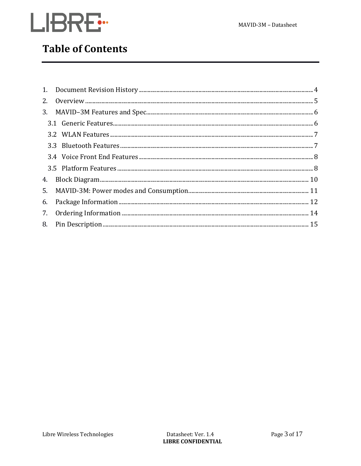

### **Table of Contents**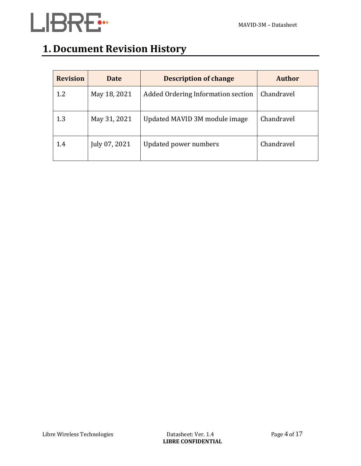

## **1. Document Revision History**

| <b>Revision</b> | <b>Date</b>   | <b>Description of change</b>       | <b>Author</b> |
|-----------------|---------------|------------------------------------|---------------|
| 1.2             | May 18, 2021  | Added Ordering Information section | Chandravel    |
| 1.3             | May 31, 2021  | Updated MAVID 3M module image      | Chandravel    |
| 1.4             | July 07, 2021 | Updated power numbers              | Chandravel    |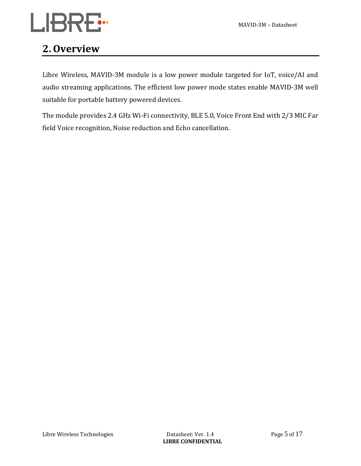## **2. Overview**

Libre Wireless, MAVID-3M module is a low power module targeted for IoT, voice/AI and audio streaming applications. The efficient low power mode states enable MAVID-3M well suitable for portable battery powered devices.

The module provides 2.4 GHz Wi-Fi connectivity, BLE 5.0, Voice Front End with 2/3 MIC Far field Voice recognition, Noise reduction and Echo cancellation.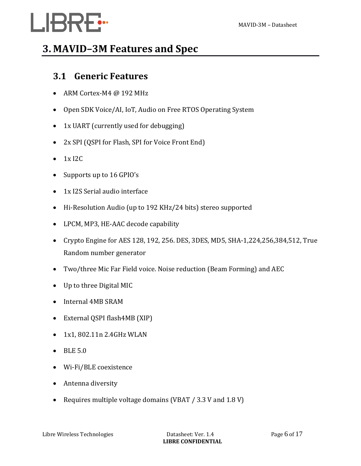# **3. MAVID–3M Features and Spec**

### **3.1 Generic Features**

- ARM Cortex-M4 @ 192 MHz
- Open SDK Voice/AI, IoT, Audio on Free RTOS Operating System
- 1x UART (currently used for debugging)
- 2x SPI (QSPI for Flash, SPI for Voice Front End)
- $\bullet$  1x I2C
- Supports up to 16 GPIO's
- 1x I2S Serial audio interface
- Hi-Resolution Audio (up to 192 KHz/24 bits) stereo supported
- LPCM, MP3, HE-AAC decode capability
- Crypto Engine for AES 128, 192, 256. DES, 3DES, MD5, SHA-1,224,256,384,512, True Random number generator
- Two/three Mic Far Field voice. Noise reduction (Beam Forming) and AEC
- Up to three Digital MIC
- Internal 4MB SRAM
- External QSPI flash4MB (XIP)
- 1x1, 802.11n 2.4GHz WLAN
- BLE 5.0
- Wi-Fi/BLE coexistence
- Antenna diversity
- Requires multiple voltage domains (VBAT / 3.3 V and 1.8 V)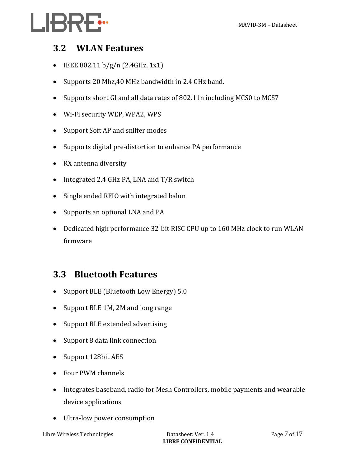### **3.2 WLAN Features**

- IEEE 802.11 b/g/n (2.4GHz, 1x1)
- Supports 20 Mhz,40 MHz bandwidth in 2.4 GHz band.
- Supports short GI and all data rates of 802.11n including MCS0 to MCS7
- Wi-Fi security WEP, WPA2, WPS
- Support Soft AP and sniffer modes
- Supports digital pre-distortion to enhance PA performance
- RX antenna diversity
- Integrated 2.4 GHz PA, LNA and T/R switch
- Single ended RFIO with integrated balun
- Supports an optional LNA and PA
- Dedicated high performance 32-bit RISC CPU up to 160 MHz clock to run WLAN firmware

### **3.3 Bluetooth Features**

- Support BLE (Bluetooth Low Energy) 5.0
- Support BLE 1M, 2M and long range
- Support BLE extended advertising
- Support 8 data link connection
- Support 128bit AES
- Four PWM channels
- Integrates baseband, radio for Mesh Controllers, mobile payments and wearable device applications
- Ultra-low power consumption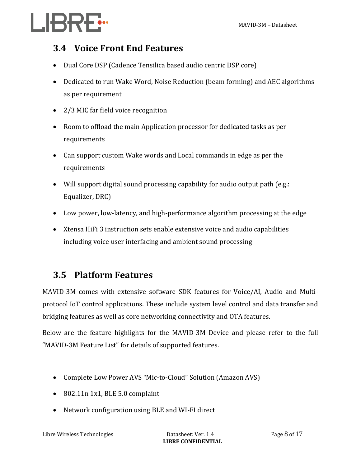# LI<del>BRE:</del>

### **3.4 Voice Front End Features**

- Dual Core DSP (Cadence Tensilica based audio centric DSP core)
- Dedicated to run Wake Word, Noise Reduction (beam forming) and AEC algorithms as per requirement
- 2/3 MIC far field voice recognition
- Room to offload the main Application processor for dedicated tasks as per requirements
- Can support custom Wake words and Local commands in edge as per the requirements
- Will support digital sound processing capability for audio output path (e.g.: Equalizer, DRC)
- Low power, low-latency, and high-performance algorithm processing at the edge
- Xtensa HiFi 3 instruction sets enable extensive voice and audio capabilities including voice user interfacing and ambient sound processing

### **3.5 Platform Features**

MAVID-3M comes with extensive software SDK features for Voice/AI, Audio and Multiprotocol IoT control applications. These include system level control and data transfer and bridging features as well as core networking connectivity and OTA features.

Below are the feature highlights for the MAVID-3M Device and please refer to the full "MAVID-3M Feature List" for details of supported features.

- Complete Low Power AVS "Mic-to-Cloud" Solution (Amazon AVS)
- 802.11n 1x1, BLE 5.0 complaint
- Network configuration using BLE and WI-FI direct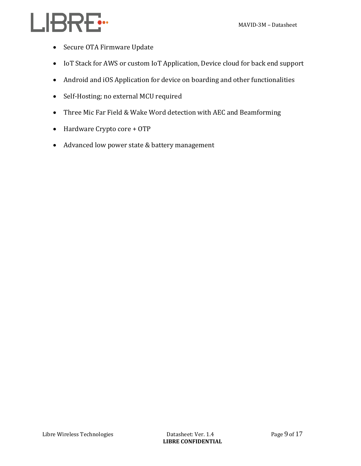- Secure OTA Firmware Update
- IoT Stack for AWS or custom IoT Application, Device cloud for back end support
- Android and iOS Application for device on boarding and other functionalities
- Self-Hosting; no external MCU required
- Three Mic Far Field & Wake Word detection with AEC and Beamforming
- Hardware Crypto core + OTP
- Advanced low power state & battery management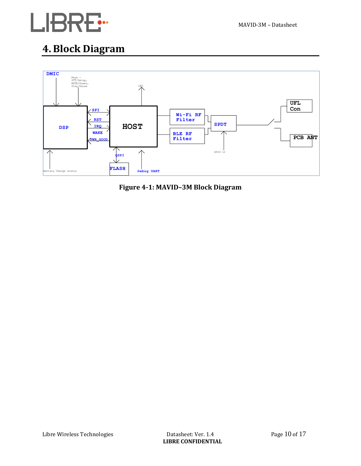

## **4. Block Diagram**



**Figure 4-1: MAVID–3M Block Diagram**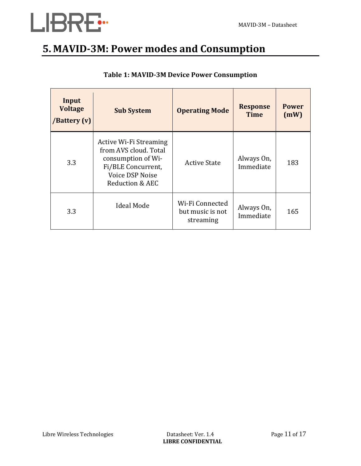

## **5. MAVID-3M: Power modes and Consumption**

| Input<br><b>Voltage</b><br>/Battery (v) | <b>Sub System</b>                                                                                                                        | <b>Operating Mode</b>                            | <b>Response</b><br><b>Time</b> | <b>Power</b><br>(mW) |
|-----------------------------------------|------------------------------------------------------------------------------------------------------------------------------------------|--------------------------------------------------|--------------------------------|----------------------|
| 3.3                                     | Active Wi-Fi Streaming<br>from AVS cloud. Total<br>consumption of Wi-<br>Fi/BLE Concurrent,<br><b>Voice DSP Noise</b><br>Reduction & AEC | <b>Active State</b>                              | Always On,<br>Immediate        | 183                  |
| 3.3                                     | <b>Ideal Mode</b>                                                                                                                        | Wi-Fi Connected<br>but music is not<br>streaming | Always On,<br>Immediate        | 165                  |

#### **Table 1: MAVID-3M Device Power Consumption**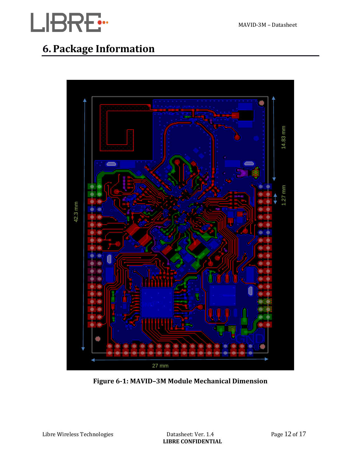

## **6. Package Information**



**Figure 6-1: MAVID–3M Module Mechanical Dimension**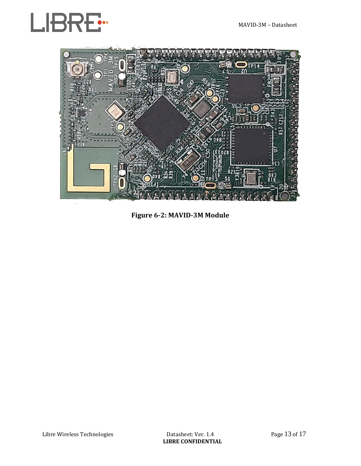



**Figure 6-2: MAVID-3M Module**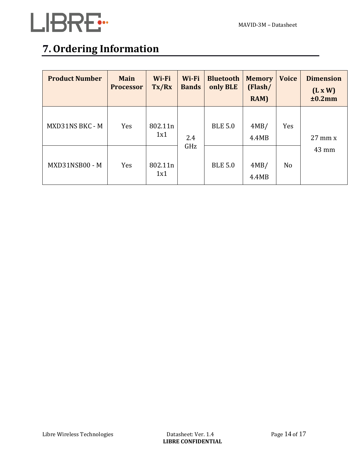

# **7. Ordering Information**

| <b>Product Number</b> | <b>Main</b><br><b>Processor</b> | Wi-Fi<br>Tx/Rx | Wi-Fi<br><b>Bands</b> | <b>Bluetooth</b><br>only BLE | <b>Memory</b><br>(Flash/<br>RAM) | <b>Voice</b> | <b>Dimension</b><br>(L x W)<br>±0.2mm |
|-----------------------|---------------------------------|----------------|-----------------------|------------------------------|----------------------------------|--------------|---------------------------------------|
| MXD31NS BKC - M       | Yes                             | 802.11n<br>1x1 | 2.4                   | <b>BLE 5.0</b>               | 4MB/<br>4.4MB                    | Yes          | $27 \text{ mm} x$                     |
| MXD31NSB00 - M        | Yes                             | 802.11n<br>1x1 | GHz                   | <b>BLE 5.0</b>               | 4MB/<br>4.4MB                    | No           | $43 \text{ mm}$                       |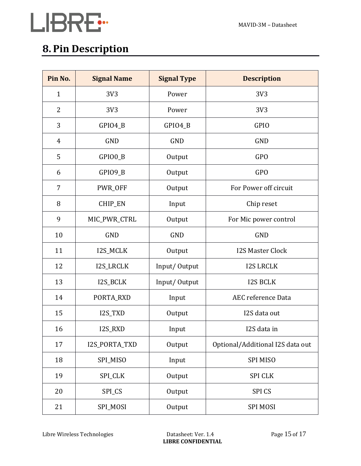



# **8. Pin Description**

| Pin No.        | <b>Signal Name</b> | <b>Signal Type</b> | <b>Description</b>               |  |
|----------------|--------------------|--------------------|----------------------------------|--|
| $\mathbf{1}$   | 3V3                | Power              | 3V3                              |  |
| $\overline{2}$ | 3V3                | Power              | 3V3                              |  |
| 3              | GPIO4_B            | GPIO4_B            | <b>GPIO</b>                      |  |
| 4              | <b>GND</b>         | <b>GND</b>         | <b>GND</b>                       |  |
| 5              | GPIO0_B            | Output             | <b>GPO</b>                       |  |
| 6              | GPIO9_B            | Output             | <b>GPO</b>                       |  |
| 7              | PWR_OFF            | Output             | For Power off circuit            |  |
| 8              | CHIP_EN            | Input              | Chip reset                       |  |
| 9              | MIC_PWR_CTRL       | Output             | For Mic power control            |  |
| 10             | <b>GND</b>         | <b>GND</b>         | <b>GND</b>                       |  |
| 11             | I2S_MCLK           | Output             | <b>I2S Master Clock</b>          |  |
| 12             | I2S_LRCLK          | Input/Output       | <b>I2S LRCLK</b>                 |  |
| 13             | I2S_BCLK           | Input/Output       | <b>I2S BCLK</b>                  |  |
| 14             | PORTA_RXD          | Input              | <b>AEC</b> reference Data        |  |
| 15             | I2S_TXD            | Output             | I2S data out                     |  |
| 16             | I2S_RXD            | Input              | I2S data in                      |  |
| 17             | I2S_PORTA_TXD      | Output             | Optional/Additional I2S data out |  |
| 18             | SPI_MISO           | Input              | <b>SPI MISO</b>                  |  |
| 19             | SPI_CLK            | Output             | <b>SPI CLK</b>                   |  |
| 20             | SPI_CS             | Output             | <b>SPICS</b>                     |  |
| 21             | SPI_MOSI           | Output             | <b>SPI MOSI</b>                  |  |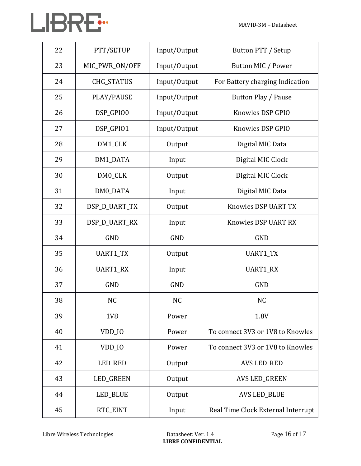| 22 | PTT/SETUP         | Input/Output | Button PTT / Setup                 |
|----|-------------------|--------------|------------------------------------|
| 23 | MIC_PWR_ON/OFF    | Input/Output | Button MIC / Power                 |
| 24 | <b>CHG_STATUS</b> | Input/Output | For Battery charging Indication    |
| 25 | PLAY/PAUSE        | Input/Output | Button Play / Pause                |
| 26 | DSP_GPIO0         | Input/Output | Knowles DSP GPIO                   |
| 27 | DSP_GPIO1         | Input/Output | Knowles DSP GPIO                   |
| 28 | DM1_CLK           | Output       | Digital MIC Data                   |
| 29 | DM1_DATA          | Input        | Digital MIC Clock                  |
| 30 | DM0_CLK           | Output       | Digital MIC Clock                  |
| 31 | DM0_DATA          | Input        | Digital MIC Data                   |
| 32 | DSP_D_UART_TX     | Output       | Knowles DSP UART TX                |
| 33 | DSP_D_UART_RX     | Input        | Knowles DSP UART RX                |
| 34 | <b>GND</b>        | <b>GND</b>   | <b>GND</b>                         |
| 35 | UART1_TX          | Output       | <b>UART1_TX</b>                    |
| 36 | UART1_RX          | Input        | <b>UART1_RX</b>                    |
| 37 | <b>GND</b>        | <b>GND</b>   | <b>GND</b>                         |
| 38 | <b>NC</b>         | <b>NC</b>    | <b>NC</b>                          |
| 39 | 1V <sub>8</sub>   | Power        | 1.8V                               |
| 40 | VDD IO            | Power        | To connect 3V3 or 1V8 to Knowles   |
| 41 | VDD_IO            | Power        | To connect 3V3 or 1V8 to Knowles   |
| 42 | LED_RED           | Output       | <b>AVS LED_RED</b>                 |
| 43 | LED_GREEN         | Output       | <b>AVS LED_GREEN</b>               |
| 44 | LED_BLUE          | Output       | <b>AVS LED_BLUE</b>                |
| 45 | RTC_EINT          | Input        | Real Time Clock External Interrupt |